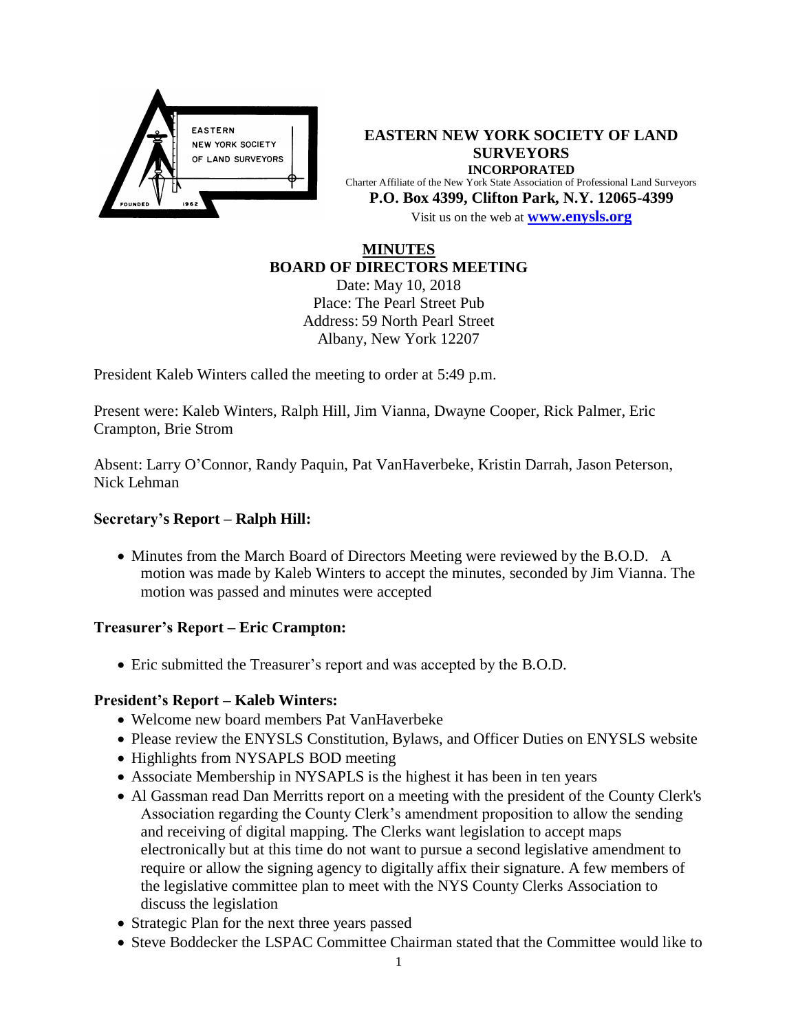

**EASTERN NEW YORK SOCIETY OF LAND SURVEYORS INCORPORATED** Charter Affiliate of the New York State Association of Professional Land Surveyors **P.O. Box 4399, Clifton Park, N.Y. 12065-4399** Visit us on the web at **[www.e](http://www.enysls.org/)nysls.org**

### **MINUTES BOARD OF DIRECTORS MEETING**

Date: May 10, 2018 Place: The Pearl Street Pub Address: 59 North Pearl Street Albany, New York 12207

President Kaleb Winters called the meeting to order at 5:49 p.m.

Present were: Kaleb Winters, Ralph Hill, Jim Vianna, Dwayne Cooper, Rick Palmer, Eric Crampton, Brie Strom

Absent: Larry O'Connor, Randy Paquin, Pat VanHaverbeke, Kristin Darrah, Jason Peterson, Nick Lehman

## **Secretary's Report – Ralph Hill:**

• Minutes from the March Board of Directors Meeting were reviewed by the B.O.D. A motion was made by Kaleb Winters to accept the minutes, seconded by Jim Vianna. The motion was passed and minutes were accepted

## **Treasurer's Report – Eric Crampton:**

Eric submitted the Treasurer's report and was accepted by the B.O.D.

## **President's Report – Kaleb Winters:**

- Welcome new board members Pat VanHaverbeke
- Please review the ENYSLS Constitution, Bylaws, and Officer Duties on ENYSLS website
- Highlights from NYSAPLS BOD meeting
- Associate Membership in NYSAPLS is the highest it has been in ten years
- Al Gassman read Dan Merritts report on a meeting with the president of the County Clerk's Association regarding the County Clerk's amendment proposition to allow the sending and receiving of digital mapping. The Clerks want legislation to accept maps electronically but at this time do not want to pursue a second legislative amendment to require or allow the signing agency to digitally affix their signature. A few members of the legislative committee plan to meet with the NYS County Clerks Association to discuss the legislation
- Strategic Plan for the next three years passed
- Steve Boddecker the LSPAC Committee Chairman stated that the Committee would like to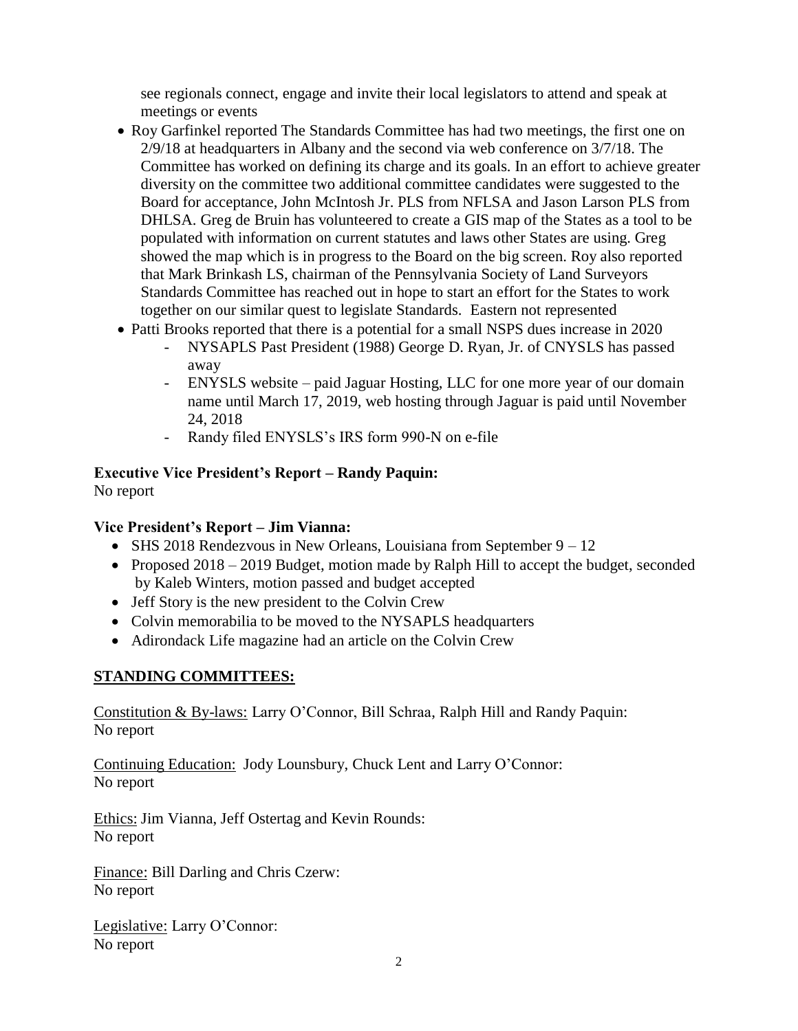see regionals connect, engage and invite their local legislators to attend and speak at meetings or events

- Roy Garfinkel reported The Standards Committee has had two meetings, the first one on 2/9/18 at headquarters in Albany and the second via web conference on 3/7/18. The Committee has worked on defining its charge and its goals. In an effort to achieve greater diversity on the committee two additional committee candidates were suggested to the Board for acceptance, John McIntosh Jr. PLS from NFLSA and Jason Larson PLS from DHLSA. Greg de Bruin has volunteered to create a GIS map of the States as a tool to be populated with information on current statutes and laws other States are using. Greg showed the map which is in progress to the Board on the big screen. Roy also reported that Mark Brinkash LS, chairman of the Pennsylvania Society of Land Surveyors Standards Committee has reached out in hope to start an effort for the States to work together on our similar quest to legislate Standards. Eastern not represented
- Patti Brooks reported that there is a potential for a small NSPS dues increase in 2020
	- NYSAPLS Past President (1988) George D. Ryan, Jr. of CNYSLS has passed away
	- ENYSLS website paid Jaguar Hosting, LLC for one more year of our domain name until March 17, 2019, web hosting through Jaguar is paid until November 24, 2018
	- Randy filed ENYSLS's IRS form 990-N on e-file

### **Executive Vice President's Report – Randy Paquin:** No report

# **Vice President's Report – Jim Vianna:**

- SHS 2018 Rendezvous in New Orleans, Louisiana from September 9 12
- Proposed 2018 2019 Budget, motion made by Ralph Hill to accept the budget, seconded by Kaleb Winters, motion passed and budget accepted
- Jeff Story is the new president to the Colvin Crew
- Colvin memorabilia to be moved to the NYSAPLS headquarters
- Adirondack Life magazine had an article on the Colvin Crew

# **STANDING COMMITTEES:**

Constitution & By-laws: Larry O'Connor, Bill Schraa, Ralph Hill and Randy Paquin: No report

Continuing Education: Jody Lounsbury, Chuck Lent and Larry O'Connor: No report

Ethics: Jim Vianna, Jeff Ostertag and Kevin Rounds: No report

Finance: Bill Darling and Chris Czerw: No report

Legislative: Larry O'Connor: No report